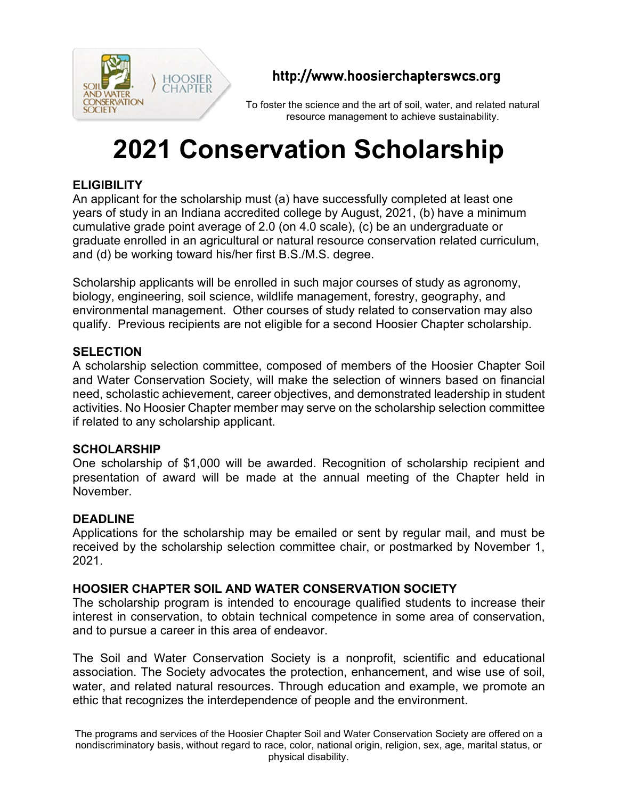

## http://www.hoosierchapterswcs.org

To foster the science and the art of soil, water, and related natural resource management to achieve sustainability.

# **2021 Conservation Scholarship**

### **ELIGIBILITY**

An applicant for the scholarship must (a) have successfully completed at least one years of study in an Indiana accredited college by August, 2021, (b) have a minimum cumulative grade point average of 2.0 (on 4.0 scale), (c) be an undergraduate or graduate enrolled in an agricultural or natural resource conservation related curriculum, and (d) be working toward his/her first B.S./M.S. degree.

Scholarship applicants will be enrolled in such major courses of study as agronomy, biology, engineering, soil science, wildlife management, forestry, geography, and environmental management. Other courses of study related to conservation may also qualify. Previous recipients are not eligible for a second Hoosier Chapter scholarship.

#### **SELECTION**

A scholarship selection committee, composed of members of the Hoosier Chapter Soil and Water Conservation Society, will make the selection of winners based on financial need, scholastic achievement, career objectives, and demonstrated leadership in student activities. No Hoosier Chapter member may serve on the scholarship selection committee if related to any scholarship applicant.

#### **SCHOLARSHIP**

One scholarship of \$1,000 will be awarded. Recognition of scholarship recipient and presentation of award will be made at the annual meeting of the Chapter held in November.

#### **DEADLINE**

Applications for the scholarship may be emailed or sent by regular mail, and must be received by the scholarship selection committee chair, or postmarked by November 1, 2021.

#### **HOOSIER CHAPTER SOIL AND WATER CONSERVATION SOCIETY**

The scholarship program is intended to encourage qualified students to increase their interest in conservation, to obtain technical competence in some area of conservation, and to pursue a career in this area of endeavor.

The Soil and Water Conservation Society is a nonprofit, scientific and educational association. The Society advocates the protection, enhancement, and wise use of soil, water, and related natural resources. Through education and example, we promote an ethic that recognizes the interdependence of people and the environment.